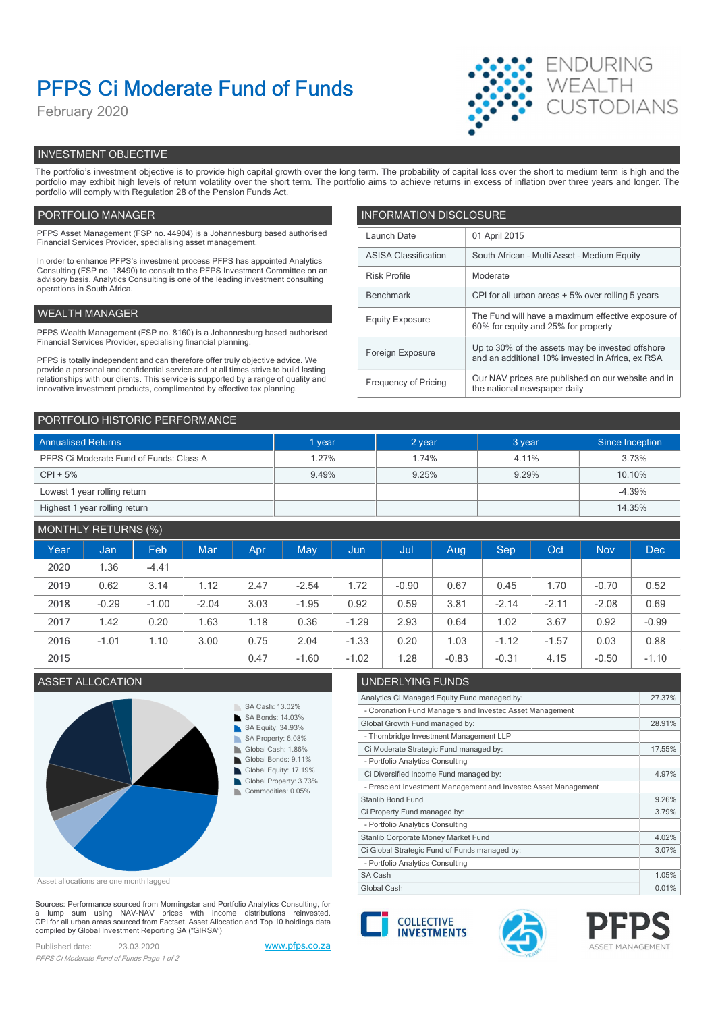# PFPS Ci Moderate Fund of Funds

February 2020



# INVESTMENT OBJECTIVE

The portfolio's investment objective is to provide high capital growth over the long term. The probability of capital loss over the short to medium term is high and the portfolio may exhibit high levels of return volatility over the short term. The portfolio aims to achieve returns in excess of inflation over three years and longer. The portfolio will comply with Regulation 28 of the Pension Funds Act.

## PORTFOLIO MANAGER **INFORMATION DISCLOSURE**

| PFPS Asset Management (FSP no. 44904) is a Johannesburg based authorised<br>Financial Services Provider, specialising asset management.                                                | Launch Date                                                                                                   | 01 April 2015                                                                             |
|----------------------------------------------------------------------------------------------------------------------------------------------------------------------------------------|---------------------------------------------------------------------------------------------------------------|-------------------------------------------------------------------------------------------|
| In order to enhance PFPS's investment process PFPS has appointed Analytics                                                                                                             | South African - Multi Asset - Medium Equity<br><b>ASISA Classification</b><br><b>Risk Profile</b><br>Moderate |                                                                                           |
| Consulting (FSP no. 18490) to consult to the PFPS Investment Committee on an<br>advisory basis. Analytics Consulting is one of the leading investment consulting                       |                                                                                                               |                                                                                           |
| operations in South Africa.                                                                                                                                                            | Benchmark                                                                                                     | CPI for all urban areas + 5% over rolling 5 years                                         |
| WEALTH MANAGER                                                                                                                                                                         | <b>Equity Exposure</b>                                                                                        | The Fund will have a maximum effective exposure of<br>60% for equity and 25% for property |
| PFPS Wealth Management (FSP no. 8160) is a Johannesburg based authorised                                                                                                               |                                                                                                               |                                                                                           |
| Financial Services Provider, specialising financial planning.                                                                                                                          | Foreign Exposure                                                                                              | Up to 30% of the assets may be invested offshore                                          |
| PFPS is totally independent and can therefore offer truly objective advice. We<br>provide a personal and confidential service and at all times strive to build lasting                 |                                                                                                               | and an additional 10% invested in Africa, ex RSA                                          |
| relationships with our clients. This service is supported by a range of quality and<br>Frequency of Pricing<br>innovative investment products, complimented by effective tax planning. |                                                                                                               | Our NAV prices are published on our website and in<br>the national newspaper daily        |
|                                                                                                                                                                                        |                                                                                                               |                                                                                           |

| PORTFOLIO HISTORIC PERFORMANCE          |        |        |        |                 |  |
|-----------------------------------------|--------|--------|--------|-----------------|--|
| <b>Annualised Returns</b>               | 1 year | 2 year | 3 year | Since Inception |  |
| PFPS Ci Moderate Fund of Funds: Class A | 1.27%  | 1.74%  | 4.11%  | 3.73%           |  |
| $CPI + 5%$                              | 9.49%  | 9.25%  | 9.29%  | 10.10%          |  |
| Lowest 1 year rolling return            |        |        |        | -4.39%          |  |
| Highest 1 year rolling return           |        |        |        | 14.35%          |  |

# MONTHLY RETURNS (%)

|      |         | $\sim$ $\sim$ |         |      |            |         |         |         |         |         |            |            |
|------|---------|---------------|---------|------|------------|---------|---------|---------|---------|---------|------------|------------|
| Year | Jan     | Feb           | Mar     | Apr  | <b>May</b> | Jun,    | Jul     | Aug     | Sep     | Oct     | <b>Nov</b> | <b>Dec</b> |
| 2020 | 1.36    | $-4.41$       |         |      |            |         |         |         |         |         |            |            |
| 2019 | 0.62    | 3.14          | 1.12    | 2.47 | $-2.54$    | 1.72    | $-0.90$ | 0.67    | 0.45    | .70     | $-0.70$    | 0.52       |
| 2018 | $-0.29$ | $-1.00$       | $-2.04$ | 3.03 | $-1.95$    | 0.92    | 0.59    | 3.81    | $-2.14$ | $-2.11$ | $-2.08$    | 0.69       |
| 2017 | 1.42    | 0.20          | 1.63    | .18  | 0.36       | $-1.29$ | 2.93    | 0.64    | 1.02    | 3.67    | 0.92       | $-0.99$    |
| 2016 | $-1.01$ | 1.10          | 3.00    | 0.75 | 2.04       | $-1.33$ | 0.20    | 1.03    | $-1.12$ | $-1.57$ | 0.03       | 0.88       |
| 2015 |         |               |         | 0.47 | $-1.60$    | $-1.02$ | .28     | $-0.83$ | $-0.31$ | 4.15    | $-0.50$    | $-1.10$    |
|      |         |               |         |      |            |         |         |         |         |         |            |            |



Asset allocations are one month lagged

Sources: Performance sourced from Morningstar and Portfolio Analytics Consulting, for a lump sum using NAV-NAV prices with income distributions reinvested.<br>CPI for all urban areas sourced from Factset. Asset Allocation and Top 10 holdings data compiled by Global Investment Reporting SA ("GIRSA")

Published date: 23.03.2020 www.pfps.co.za PFPS Ci Moderate Fund of Funds Page 1 of 2

# ASSET ALLOCATION UNDERLYING FUNDS

| Analytics Ci Managed Equity Fund managed by:                    | 27.37% |
|-----------------------------------------------------------------|--------|
| - Coronation Fund Managers and Investec Asset Management        |        |
| Global Growth Fund managed by:                                  | 28.91% |
| - Thornbridge Investment Management LLP                         |        |
| Ci Moderate Strategic Fund managed by:                          | 17.55% |
| - Portfolio Analytics Consulting                                |        |
| Ci Diversified Income Fund managed by:                          | 4.97%  |
| - Prescient Investment Management and Investec Asset Management |        |
| <b>Stanlib Bond Fund</b>                                        | 9.26%  |
| Ci Property Fund managed by:                                    | 3.79%  |
| - Portfolio Analytics Consulting                                |        |
| Stanlib Corporate Money Market Fund                             | 4.02%  |
| Ci Global Strategic Fund of Funds managed by:                   | 3.07%  |
| - Portfolio Analytics Consulting                                |        |
| SA Cash                                                         | 1.05%  |
| Global Cash                                                     | 0.01%  |